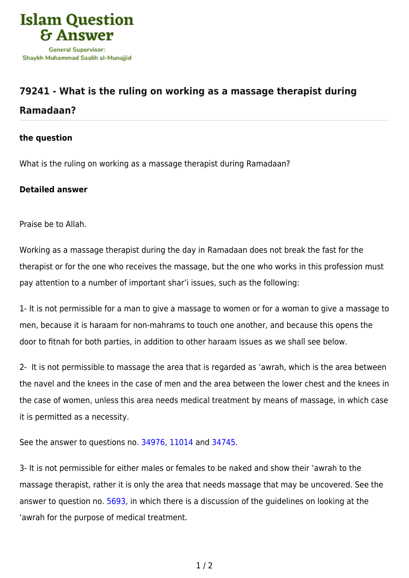

## **[79241 - What is the ruling on working as a massage therapist during](https://islamqa.com/en/answers/79241/what-is-the-ruling-on-working-as-a-massage-therapist-during-ramadaan) [Ramadaan?](https://islamqa.com/en/answers/79241/what-is-the-ruling-on-working-as-a-massage-therapist-during-ramadaan)**

## **the question**

What is the ruling on working as a massage therapist during Ramadaan?

## **Detailed answer**

Praise be to Allah.

Working as a massage therapist during the day in Ramadaan does not break the fast for the therapist or for the one who receives the massage, but the one who works in this profession must pay attention to a number of important shar'i issues, such as the following:

1- It is not permissible for a man to give a massage to women or for a woman to give a massage to men, because it is haraam for non-mahrams to touch one another, and because this opens the door to fitnah for both parties, in addition to other haraam issues as we shall see below.

2- It is not permissible to massage the area that is regarded as 'awrah, which is the area between the navel and the knees in the case of men and the area between the lower chest and the knees in the case of women, unless this area needs medical treatment by means of massage, in which case it is permitted as a necessity.

See the answer to questions no. [34976](https://islamqa.com/en/answers/34976), [11014 a](https://islamqa.com/en/answers/11014)nd [34745.](https://islamqa.com/en/answers/34745)

3- It is not permissible for either males or females to be naked and show their 'awrah to the massage therapist, rather it is only the area that needs massage that may be uncovered. See the answer to question no. [5693,](https://islamqa.com/en/answers/5693) in which there is a discussion of the guidelines on looking at the 'awrah for the purpose of medical treatment.